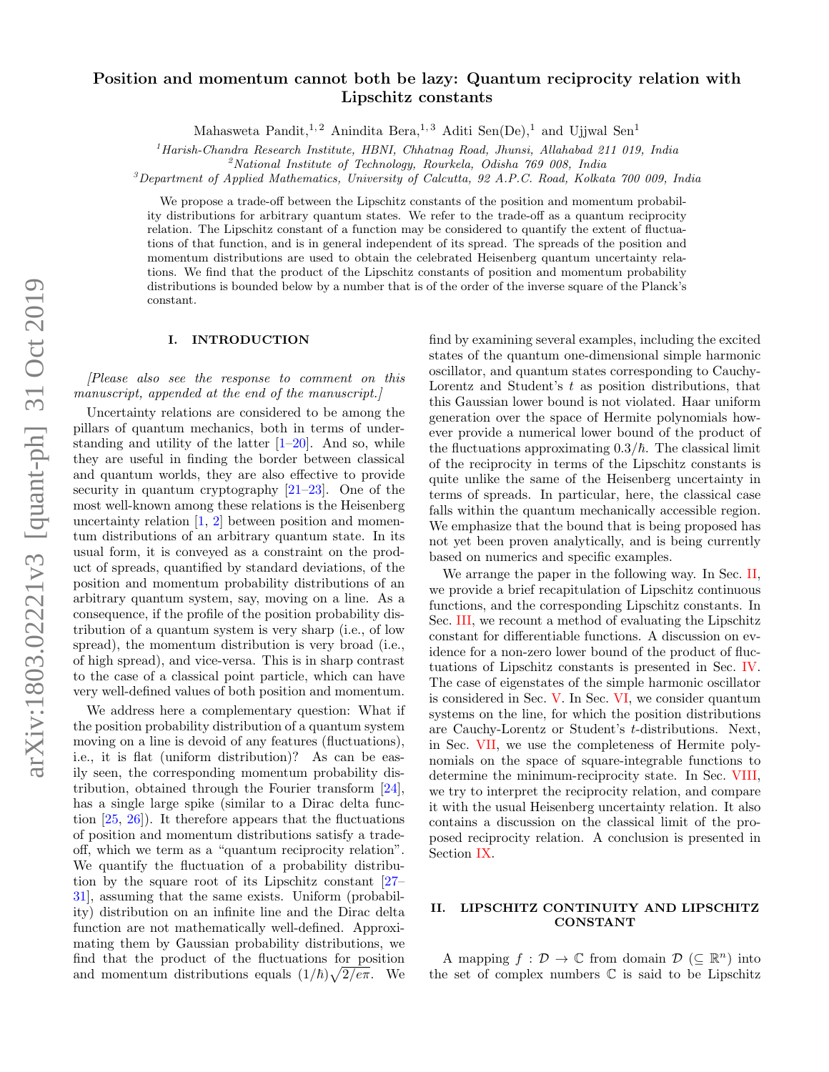# arXiv:1803.02221v3 [quant-ph] 31 Oct 2019 arXiv:1803.02221v3 [quant-ph] 31 Oct 2019

# Position and momentum cannot both be lazy: Quantum reciprocity relation with Lipschitz constants

Mahasweta Pandit,<sup>1,2</sup> Anindita Bera,<sup>1,3</sup> Aditi Sen(De),<sup>1</sup> and Ujjwal Sen<sup>1</sup>

 $1<sup>1</sup> Harish-Chandra Research Institute, HBNI, Chhatnag Road, Jhunsi, Allahabad 211 019, India$ 

 $^{2}$ National Institute of Technology, Rourkela, Odisha  $769$  008, India

 $3$ Department of Applied Mathematics, University of Calcutta, 92 A.P.C. Road, Kolkata 700 009, India

We propose a trade-off between the Lipschitz constants of the position and momentum probability distributions for arbitrary quantum states. We refer to the trade-off as a quantum reciprocity relation. The Lipschitz constant of a function may be considered to quantify the extent of fluctuations of that function, and is in general independent of its spread. The spreads of the position and momentum distributions are used to obtain the celebrated Heisenberg quantum uncertainty relations. We find that the product of the Lipschitz constants of position and momentum probability distributions is bounded below by a number that is of the order of the inverse square of the Planck's constant.

### I. INTRODUCTION

[Please also see the response to comment on this manuscript, appended at the end of the manuscript.]

Uncertainty relations are considered to be among the pillars of quantum mechanics, both in terms of understanding and utility of the latter  $[1-20]$  $[1-20]$ . And so, while they are useful in finding the border between classical and quantum worlds, they are also effective to provide security in quantum cryptography [\[21–](#page-7-2)[23\]](#page-7-3). One of the most well-known among these relations is the Heisenberg uncertainty relation  $\left[1, 2\right]$  between position and momentum distributions of an arbitrary quantum state. In its usual form, it is conveyed as a constraint on the product of spreads, quantified by standard deviations, of the position and momentum probability distributions of an arbitrary quantum system, say, moving on a line. As a consequence, if the profile of the position probability distribution of a quantum system is very sharp (i.e., of low spread), the momentum distribution is very broad (i.e., of high spread), and vice-versa. This is in sharp contrast to the case of a classical point particle, which can have very well-defined values of both position and momentum.

We address here a complementary question: What if the position probability distribution of a quantum system moving on a line is devoid of any features (fluctuations), i.e., it is flat (uniform distribution)? As can be easily seen, the corresponding momentum probability distribution, obtained through the Fourier transform [\[24\]](#page-7-5), has a single large spike (similar to a Dirac delta function [\[25,](#page-7-6) [26\]](#page-7-7)). It therefore appears that the fluctuations of position and momentum distributions satisfy a tradeoff, which we term as a "quantum reciprocity relation". We quantify the fluctuation of a probability distribution by the square root of its Lipschitz constant [\[27–](#page-7-8) [31\]](#page-7-9), assuming that the same exists. Uniform (probability) distribution on an infinite line and the Dirac delta function are not mathematically well-defined. Approximating them by Gaussian probability distributions, we find that the product of the fluctuations for position and momentum distributions equals  $(1/\hbar)\sqrt{2/e\pi}$ . We

find by examining several examples, including the excited states of the quantum one-dimensional simple harmonic oscillator, and quantum states corresponding to Cauchy-Lorentz and Student's  $t$  as position distributions, that this Gaussian lower bound is not violated. Haar uniform generation over the space of Hermite polynomials however provide a numerical lower bound of the product of the fluctuations approximating  $0.3/\hbar$ . The classical limit of the reciprocity in terms of the Lipschitz constants is quite unlike the same of the Heisenberg uncertainty in terms of spreads. In particular, here, the classical case falls within the quantum mechanically accessible region. We emphasize that the bound that is being proposed has not yet been proven analytically, and is being currently based on numerics and specific examples.

We arrange the paper in the following way. In Sec. [II,](#page-0-0) we provide a brief recapitulation of Lipschitz continuous functions, and the corresponding Lipschitz constants. In Sec. [III,](#page-1-0) we recount a method of evaluating the Lipschitz constant for differentiable functions. A discussion on evidence for a non-zero lower bound of the product of fluctuations of Lipschitz constants is presented in Sec. [IV.](#page-1-1) The case of eigenstates of the simple harmonic oscillator is considered in Sec. [V.](#page-1-2) In Sec. [VI,](#page-3-0) we consider quantum systems on the line, for which the position distributions are Cauchy-Lorentz or Student's t-distributions. Next, in Sec. [VII,](#page-5-0) we use the completeness of Hermite polynomials on the space of square-integrable functions to determine the minimum-reciprocity state. In Sec. [VIII,](#page-6-0) we try to interpret the reciprocity relation, and compare it with the usual Heisenberg uncertainty relation. It also contains a discussion on the classical limit of the proposed reciprocity relation. A conclusion is presented in Section [IX.](#page-6-1)

## <span id="page-0-0"></span>II. LIPSCHITZ CONTINUITY AND LIPSCHITZ CONSTANT

A mapping  $f: \mathcal{D} \to \mathbb{C}$  from domain  $\mathcal{D} \ (\subseteq \mathbb{R}^n)$  into the set of complex numbers  $\mathbb C$  is said to be Lipschitz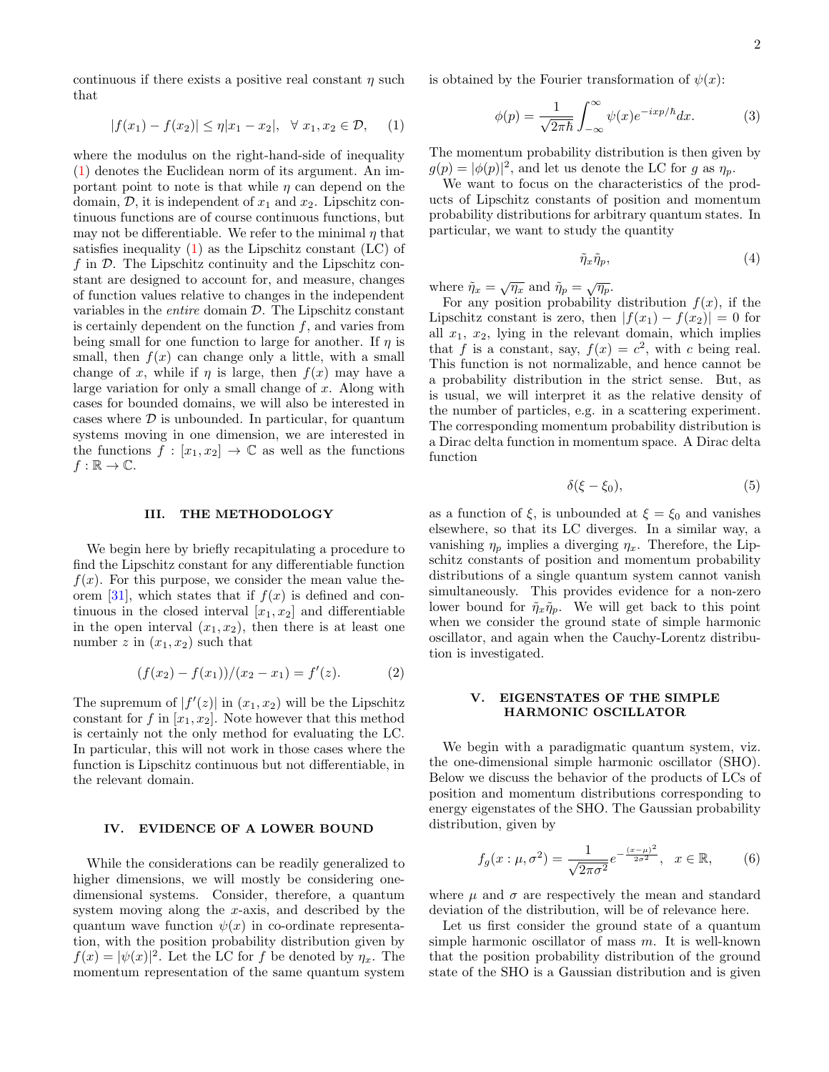continuous if there exists a positive real constant  $\eta$  such that

<span id="page-1-3"></span>
$$
|f(x_1) - f(x_2)| \le \eta |x_1 - x_2|, \quad \forall \ x_1, x_2 \in \mathcal{D}, \quad (1)
$$

where the modulus on the right-hand-side of inequality [\(1\)](#page-1-3) denotes the Euclidean norm of its argument. An important point to note is that while  $\eta$  can depend on the domain,  $\mathcal{D}$ , it is independent of  $x_1$  and  $x_2$ . Lipschitz continuous functions are of course continuous functions, but may not be differentiable. We refer to the minimal  $\eta$  that satisfies inequality  $(1)$  as the Lipschitz constant  $(LC)$  of f in  $\mathcal D$ . The Lipschitz continuity and the Lipschitz constant are designed to account for, and measure, changes of function values relative to changes in the independent variables in the *entire* domain  $D$ . The Lipschitz constant is certainly dependent on the function  $f$ , and varies from being small for one function to large for another. If  $\eta$  is small, then  $f(x)$  can change only a little, with a small change of x, while if  $\eta$  is large, then  $f(x)$  may have a large variation for only a small change of  $x$ . Along with cases for bounded domains, we will also be interested in cases where  $\mathcal D$  is unbounded. In particular, for quantum systems moving in one dimension, we are interested in the functions  $f : [x_1, x_2] \to \mathbb{C}$  as well as the functions  $f : \mathbb{R} \to \mathbb{C}.$ 

### <span id="page-1-0"></span>III. THE METHODOLOGY

We begin here by briefly recapitulating a procedure to find the Lipschitz constant for any differentiable function  $f(x)$ . For this purpose, we consider the mean value the-orem [\[31\]](#page-7-9), which states that if  $f(x)$  is defined and continuous in the closed interval  $[x_1, x_2]$  and differentiable in the open interval  $(x_1, x_2)$ , then there is at least one number z in  $(x_1, x_2)$  such that

$$
(f(x2) - f(x1))/(x2 - x1) = f'(z).
$$
 (2)

The supremum of  $|f'(z)|$  in  $(x_1, x_2)$  will be the Lipschitz constant for f in  $[x_1, x_2]$ . Note however that this method is certainly not the only method for evaluating the LC. In particular, this will not work in those cases where the function is Lipschitz continuous but not differentiable, in the relevant domain.

### <span id="page-1-1"></span>IV. EVIDENCE OF A LOWER BOUND

While the considerations can be readily generalized to higher dimensions, we will mostly be considering onedimensional systems. Consider, therefore, a quantum system moving along the x-axis, and described by the quantum wave function  $\psi(x)$  in co-ordinate representation, with the position probability distribution given by  $f(x) = |\psi(x)|^2$ . Let the LC for f be denoted by  $\eta_x$ . The momentum representation of the same quantum system

is obtained by the Fourier transformation of  $\psi(x)$ :

$$
\phi(p) = \frac{1}{\sqrt{2\pi\hbar}} \int_{-\infty}^{\infty} \psi(x) e^{-ixp/\hbar} dx.
$$
 (3)

The momentum probability distribution is then given by  $g(p) = |\phi(p)|^2$ , and let us denote the LC for g as  $\eta_p$ .

We want to focus on the characteristics of the products of Lipschitz constants of position and momentum probability distributions for arbitrary quantum states. In particular, we want to study the quantity

<span id="page-1-5"></span>
$$
\tilde{\eta}_x \tilde{\eta}_p,\tag{4}
$$

where  $\tilde{\eta}_x = \sqrt{\eta_x}$  and  $\tilde{\eta}_p = \sqrt{\eta_p}$ .

For any position probability distribution  $f(x)$ , if the Lipschitz constant is zero, then  $|f(x_1) - f(x_2)| = 0$  for all  $x_1, x_2$ , lying in the relevant domain, which implies that f is a constant, say,  $f(x) = c^2$ , with c being real. This function is not normalizable, and hence cannot be a probability distribution in the strict sense. But, as is usual, we will interpret it as the relative density of the number of particles, e.g. in a scattering experiment. The corresponding momentum probability distribution is a Dirac delta function in momentum space. A Dirac delta function

<span id="page-1-4"></span>
$$
\delta(\xi - \xi_0),\tag{5}
$$

as a function of  $\xi$ , is unbounded at  $\xi = \xi_0$  and vanishes elsewhere, so that its LC diverges. In a similar way, a vanishing  $\eta_p$  implies a diverging  $\eta_x$ . Therefore, the Lipschitz constants of position and momentum probability distributions of a single quantum system cannot vanish simultaneously. This provides evidence for a non-zero lower bound for  $\tilde{\eta}_x \tilde{\eta}_p$ . We will get back to this point when we consider the ground state of simple harmonic oscillator, and again when the Cauchy-Lorentz distribution is investigated.

# <span id="page-1-2"></span>V. EIGENSTATES OF THE SIMPLE HARMONIC OSCILLATOR

We begin with a paradigmatic quantum system, viz. the one-dimensional simple harmonic oscillator (SHO). Below we discuss the behavior of the products of LCs of position and momentum distributions corresponding to energy eigenstates of the SHO. The Gaussian probability distribution, given by

$$
f_g(x:\mu,\sigma^2) = \frac{1}{\sqrt{2\pi\sigma^2}} e^{-\frac{(x-\mu)^2}{2\sigma^2}}, \quad x \in \mathbb{R},\qquad(6)
$$

where  $\mu$  and  $\sigma$  are respectively the mean and standard deviation of the distribution, will be of relevance here.

Let us first consider the ground state of a quantum simple harmonic oscillator of mass m. It is well-known that the position probability distribution of the ground state of the SHO is a Gaussian distribution and is given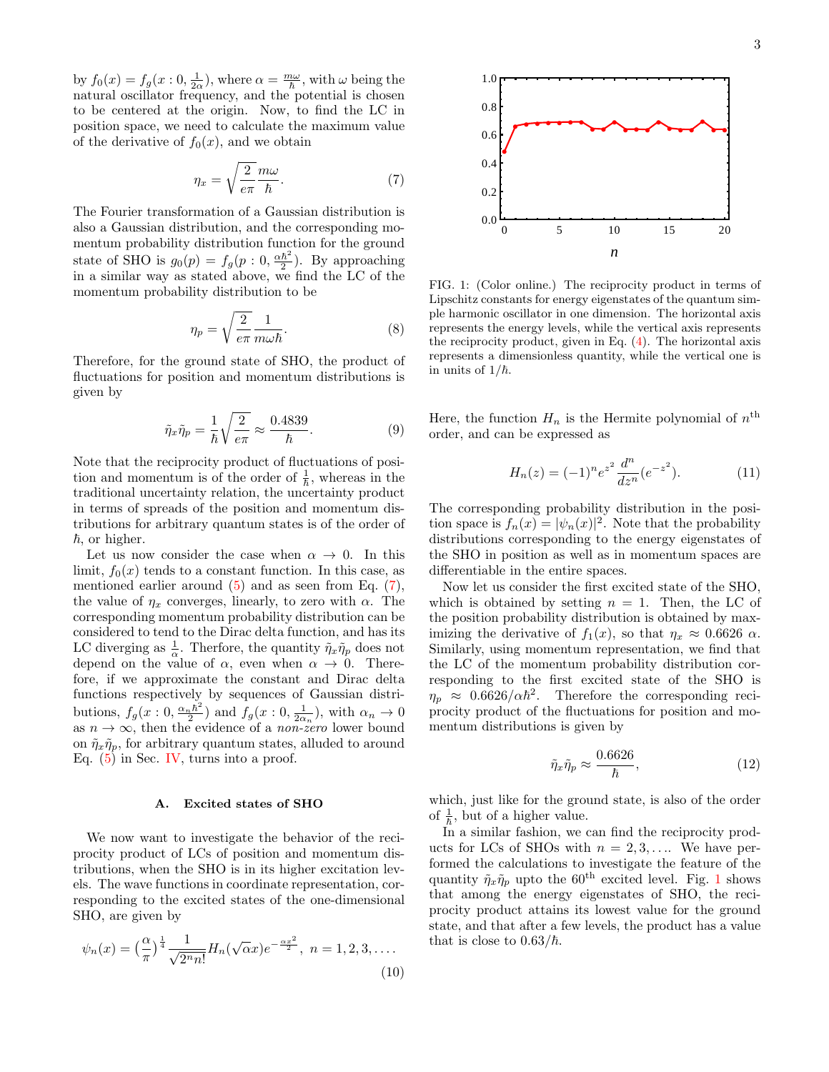by  $f_0(x) = f_g(x: 0, \frac{1}{2\alpha})$ , where  $\alpha = \frac{m\omega}{\hbar}$ , with  $\omega$  being the natural oscillator frequency, and the potential is chosen to be centered at the origin. Now, to find the LC in position space, we need to calculate the maximum value of the derivative of  $f_0(x)$ , and we obtain

<span id="page-2-0"></span>
$$
\eta_x = \sqrt{\frac{2}{e\pi}} \frac{m\omega}{\hbar}.
$$
\n(7)

The Fourier transformation of a Gaussian distribution is also a Gaussian distribution, and the corresponding momentum probability distribution function for the ground state of SHO is  $g_0(p) = f_g(p: 0, \frac{\alpha \hbar^2}{2})$  $\frac{\hbar^2}{2}$ ). By approaching in a similar way as stated above, we find the LC of the momentum probability distribution to be

$$
\eta_p = \sqrt{\frac{2}{e\pi}} \frac{1}{m\omega\hbar}.\tag{8}
$$

Therefore, for the ground state of SHO, the product of fluctuations for position and momentum distributions is given by

<span id="page-2-2"></span>
$$
\tilde{\eta}_x \tilde{\eta}_p = \frac{1}{\hbar} \sqrt{\frac{2}{e\pi}} \approx \frac{0.4839}{\hbar}.
$$
 (9)

Note that the reciprocity product of fluctuations of position and momentum is of the order of  $\frac{1}{\hbar}$ , whereas in the traditional uncertainty relation, the uncertainty product in terms of spreads of the position and momentum distributions for arbitrary quantum states is of the order of  $\hbar$ , or higher.

Let us now consider the case when  $\alpha \to 0$ . In this limit,  $f_0(x)$  tends to a constant function. In this case, as mentioned earlier around  $(5)$  and as seen from Eq.  $(7)$ , the value of  $\eta_x$  converges, linearly, to zero with  $\alpha$ . The corresponding momentum probability distribution can be considered to tend to the Dirac delta function, and has its LC diverging as  $\frac{1}{\alpha}$ . Therfore, the quantity  $\tilde{\eta}_x \tilde{\eta}_p$  does not depend on the value of  $\alpha$ , even when  $\alpha \rightarrow 0$ . Therefore, if we approximate the constant and Dirac delta functions respectively by sequences of Gaussian distributions,  $f_g(x:0, \frac{\alpha_n \hbar^2}{2})$  $\frac{1}{2}h^2$  and  $f_g(x:0,\frac{1}{2\alpha_n}),$  with  $\alpha_n \to 0$ as  $n \to \infty$ , then the evidence of a *non-zero* lower bound on  $\tilde{\eta}_x \tilde{\eta}_p$ , for arbitrary quantum states, alluded to around Eq.  $(5)$  in Sec. [IV,](#page-1-1) turns into a proof.

### A. Excited states of SHO

We now want to investigate the behavior of the reciprocity product of LCs of position and momentum distributions, when the SHO is in its higher excitation levels. The wave functions in coordinate representation, corresponding to the excited states of the one-dimensional SHO, are given by

$$
\psi_n(x) = \left(\frac{\alpha}{\pi}\right)^{\frac{1}{4}} \frac{1}{\sqrt{2^n n!}} H_n(\sqrt{\alpha}x) e^{-\frac{\alpha x^2}{2}}, \ n = 1, 2, 3, \dots
$$
\n(10)



<span id="page-2-1"></span>FIG. 1: (Color online.) The reciprocity product in terms of Lipschitz constants for energy eigenstates of the quantum simple harmonic oscillator in one dimension. The horizontal axis represents the energy levels, while the vertical axis represents the reciprocity product, given in Eq.  $(4)$ . The horizontal axis represents a dimensionless quantity, while the vertical one is in units of  $1/\hbar$ .

Here, the function  $H_n$  is the Hermite polynomial of  $n<sup>th</sup>$ order, and can be expressed as

$$
H_n(z) = (-1)^n e^{z^2} \frac{d^n}{dz^n} (e^{-z^2}).
$$
 (11)

The corresponding probability distribution in the position space is  $f_n(x) = |\psi_n(x)|^2$ . Note that the probability distributions corresponding to the energy eigenstates of the SHO in position as well as in momentum spaces are differentiable in the entire spaces.

Now let us consider the first excited state of the SHO, which is obtained by setting  $n = 1$ . Then, the LC of the position probability distribution is obtained by maximizing the derivative of  $f_1(x)$ , so that  $\eta_x \approx 0.6626 \alpha$ . Similarly, using momentum representation, we find that the LC of the momentum probability distribution corresponding to the first excited state of the SHO is  $\eta_p \approx 0.6626/\alpha\hbar^2$ . Therefore the corresponding reciprocity product of the fluctuations for position and momentum distributions is given by

$$
\tilde{\eta}_x \tilde{\eta}_p \approx \frac{0.6626}{\hbar},\tag{12}
$$

which, just like for the ground state, is also of the order of  $\frac{1}{\hbar}$ , but of a higher value.

In a similar fashion, we can find the reciprocity products for LCs of SHOs with  $n = 2, 3, \ldots$  We have performed the calculations to investigate the feature of the quantity  $\tilde{\eta}_x \tilde{\eta}_p$  upto the 60<sup>th</sup> excited level. Fig. [1](#page-2-1) shows that among the energy eigenstates of SHO, the reciprocity product attains its lowest value for the ground state, and that after a few levels, the product has a value that is close to  $0.63/\hbar$ .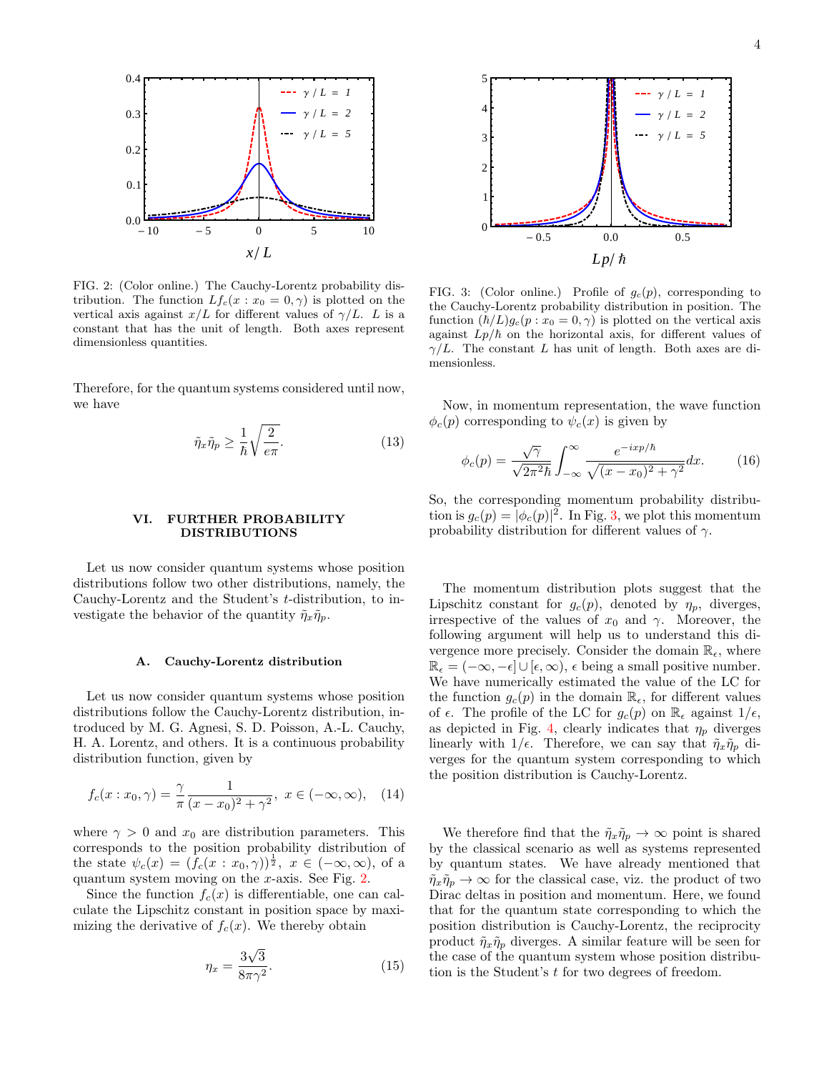

<span id="page-3-1"></span>FIG. 2: (Color online.) The Cauchy-Lorentz probability distribution. The function  $Lf_c(x : x_0 = 0, \gamma)$  is plotted on the vertical axis against  $x/L$  for different values of  $\gamma/L$ . L is a constant that has the unit of length. Both axes represent dimensionless quantities.

Therefore, for the quantum systems considered until now, we have

$$
\tilde{\eta}_x \tilde{\eta}_p \ge \frac{1}{\hbar} \sqrt{\frac{2}{e\pi}}.\tag{13}
$$

### <span id="page-3-0"></span>VI. FURTHER PROBABILITY DISTRIBUTIONS

Let us now consider quantum systems whose position distributions follow two other distributions, namely, the Cauchy-Lorentz and the Student's t-distribution, to investigate the behavior of the quantity  $\tilde{\eta}_x \tilde{\eta}_p$ .

# A. Cauchy-Lorentz distribution

Let us now consider quantum systems whose position distributions follow the Cauchy-Lorentz distribution, introduced by M. G. Agnesi, S. D. Poisson, A.-L. Cauchy, H. A. Lorentz, and others. It is a continuous probability distribution function, given by

$$
f_c(x: x_0, \gamma) = \frac{\gamma}{\pi} \frac{1}{(x - x_0)^2 + \gamma^2}, \ x \in (-\infty, \infty), \quad (14)
$$

where  $\gamma > 0$  and  $x_0$  are distribution parameters. This corresponds to the position probability distribution of the state  $\psi_c(x) = (f_c(x : x_0, \gamma))^{\frac{1}{2}}, x \in (-\infty, \infty),$  of a quantum system moving on the x-axis. See Fig. [2.](#page-3-1)

Since the function  $f_c(x)$  is differentiable, one can calculate the Lipschitz constant in position space by maximizing the derivative of  $f_c(x)$ . We thereby obtain

$$
\eta_x = \frac{3\sqrt{3}}{8\pi\gamma^2}.\tag{15}
$$



<span id="page-3-2"></span>FIG. 3: (Color online.) Profile of  $g_c(p)$ , corresponding to the Cauchy-Lorentz probability distribution in position. The function  $(\hbar/L)g_c(p : x_0 = 0, \gamma)$  is plotted on the vertical axis against  $L_p/\hbar$  on the horizontal axis, for different values of  $\gamma/L$ . The constant L has unit of length. Both axes are dimensionless.

Now, in momentum representation, the wave function  $\phi_c(p)$  corresponding to  $\psi_c(x)$  is given by

$$
\phi_c(p) = \frac{\sqrt{\gamma}}{\sqrt{2\pi^2\hbar}} \int_{-\infty}^{\infty} \frac{e^{-ixp/\hbar}}{\sqrt{(x-x_0)^2 + \gamma^2}} dx.
$$
 (16)

So, the corresponding momentum probability distribution is  $g_c(p) = |\phi_c(p)|^2$ . In Fig. [3,](#page-3-2) we plot this momentum probability distribution for different values of  $\gamma$ .

The momentum distribution plots suggest that the Lipschitz constant for  $g_c(p)$ , denoted by  $\eta_p$ , diverges, irrespective of the values of  $x_0$  and  $\gamma$ . Moreover, the following argument will help us to understand this divergence more precisely. Consider the domain  $\mathbb{R}_{\epsilon}$ , where  $\mathbb{R}_{\epsilon} = (-\infty, -\epsilon] \cup [\epsilon, \infty), \epsilon$  being a small positive number. We have numerically estimated the value of the LC for the function  $g_c(p)$  in the domain  $\mathbb{R}_{\epsilon}$ , for different values of  $\epsilon$ . The profile of the LC for  $g_c(p)$  on  $\mathbb{R}_{\epsilon}$  against  $1/\epsilon$ , as depicted in Fig. [4,](#page-4-0) clearly indicates that  $\eta_p$  diverges linearly with  $1/\epsilon$ . Therefore, we can say that  $\tilde{\eta}_x \tilde{\eta}_p$  diverges for the quantum system corresponding to which the position distribution is Cauchy-Lorentz.

We therefore find that the  $\tilde{\eta}_x \tilde{\eta}_p \to \infty$  point is shared by the classical scenario as well as systems represented by quantum states. We have already mentioned that  $\tilde{\eta}_x \tilde{\eta}_p \to \infty$  for the classical case, viz. the product of two Dirac deltas in position and momentum. Here, we found that for the quantum state corresponding to which the position distribution is Cauchy-Lorentz, the reciprocity product  $\tilde{\eta}_x \tilde{\eta}_p$  diverges. A similar feature will be seen for the case of the quantum system whose position distribution is the Student's t for two degrees of freedom.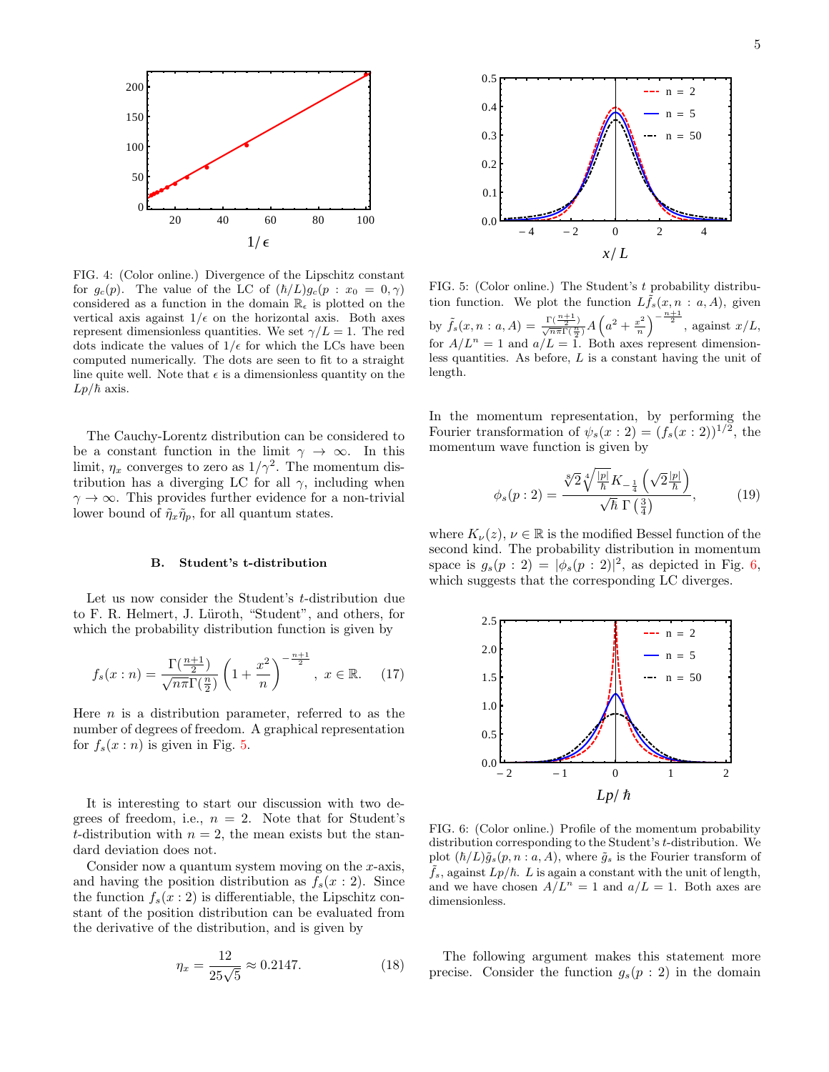

<span id="page-4-0"></span>FIG. 4: (Color online.) Divergence of the Lipschitz constant for  $g_c(p)$ . The value of the LC of  $(\hbar/L)g_c(p : x_0 = 0, \gamma)$ considered as a function in the domain  $\mathbb{R}_{\epsilon}$  is plotted on the vertical axis against  $1/\epsilon$  on the horizontal axis. Both axes represent dimensionless quantities. We set  $\gamma/L = 1$ . The red dots indicate the values of  $1/\epsilon$  for which the LCs have been computed numerically. The dots are seen to fit to a straight line quite well. Note that  $\epsilon$  is a dimensionless quantity on the  $Lp/\hbar$  axis.

The Cauchy-Lorentz distribution can be considered to be a constant function in the limit  $\gamma \to \infty$ . In this limit,  $\eta_x$  converges to zero as  $1/\gamma^2$ . The momentum distribution has a diverging LC for all  $\gamma$ , including when  $\gamma \to \infty$ . This provides further evidence for a non-trivial lower bound of  $\tilde{\eta}_x \tilde{\eta}_p$ , for all quantum states.

### B. Student's t-distribution

Let us now consider the Student's t-distribution due to F. R. Helmert, J. Lüroth, "Student", and others, for which the probability distribution function is given by

$$
f_s(x:n) = \frac{\Gamma(\frac{n+1}{2})}{\sqrt{n\pi}\Gamma(\frac{n}{2})} \left(1 + \frac{x^2}{n}\right)^{-\frac{n+1}{2}}, \ x \in \mathbb{R}.\tag{17}
$$

Here  $n$  is a distribution parameter, referred to as the number of degrees of freedom. A graphical representation for  $f_s(x:n)$  is given in Fig. [5.](#page-4-1)

It is interesting to start our discussion with two degrees of freedom, i.e.,  $n = 2$ . Note that for Student's t-distribution with  $n = 2$ , the mean exists but the standard deviation does not.

Consider now a quantum system moving on the  $x$ -axis, and having the position distribution as  $f_s(x:2)$ . Since the function  $f_s(x:2)$  is differentiable, the Lipschitz constant of the position distribution can be evaluated from the derivative of the distribution, and is given by

$$
\eta_x = \frac{12}{25\sqrt{5}} \approx 0.2147. \tag{18}
$$



<span id="page-4-1"></span>FIG. 5: (Color online.) The Student's t probability distribution function. We plot the function  $Lf_s(x, n : a, A)$ , given by  $\tilde{f}_s(x, n : a, A) = \frac{\Gamma(\frac{n+1}{2})}{\sqrt{n\pi}\Gamma(\frac{n}{2})} A\left(a^2 + \frac{x^2}{n}\right)$  $\left(\frac{x^2}{n}\right)^{-\frac{n+1}{2}}, \text{ against } x/L,$ for  $A/L^n = 1$  and  $a/L = 1$ . Both axes represent dimensionless quantities. As before, L is a constant having the unit of length.

In the momentum representation, by performing the Fourier transformation of  $\psi_s(x:2) = (f_s(x:2))^{1/2}$ , the momentum wave function is given by

$$
\phi_s(p:2) = \frac{\sqrt[8]{2} \sqrt[4]{\frac{|p|}{\hbar}} K_{-\frac{1}{4}} \left(\sqrt{2} \frac{|p|}{\hbar}\right)}{\sqrt{\hbar} \Gamma\left(\frac{3}{4}\right)},\tag{19}
$$

where  $K_{\nu}(z), \nu \in \mathbb{R}$  is the modified Bessel function of the second kind. The probability distribution in momentum space is  $g_s(p:2) = |\phi_s(p:2)|^2$ , as depicted in Fig. [6,](#page-4-2) which suggests that the corresponding LC diverges.



<span id="page-4-2"></span>FIG. 6: (Color online.) Profile of the momentum probability distribution corresponding to the Student's t-distribution. We plot  $(\hbar/L)\tilde{g}_s(p, n : a, A)$ , where  $\tilde{g}_s$  is the Fourier transform of  $\tilde{f}_s$ , against  $L_p/\hbar$ . L is again a constant with the unit of length, and we have chosen  $A/L^n = 1$  and  $a/L = 1$ . Both axes are dimensionless.

The following argument makes this statement more precise. Consider the function  $g_s(p:2)$  in the domain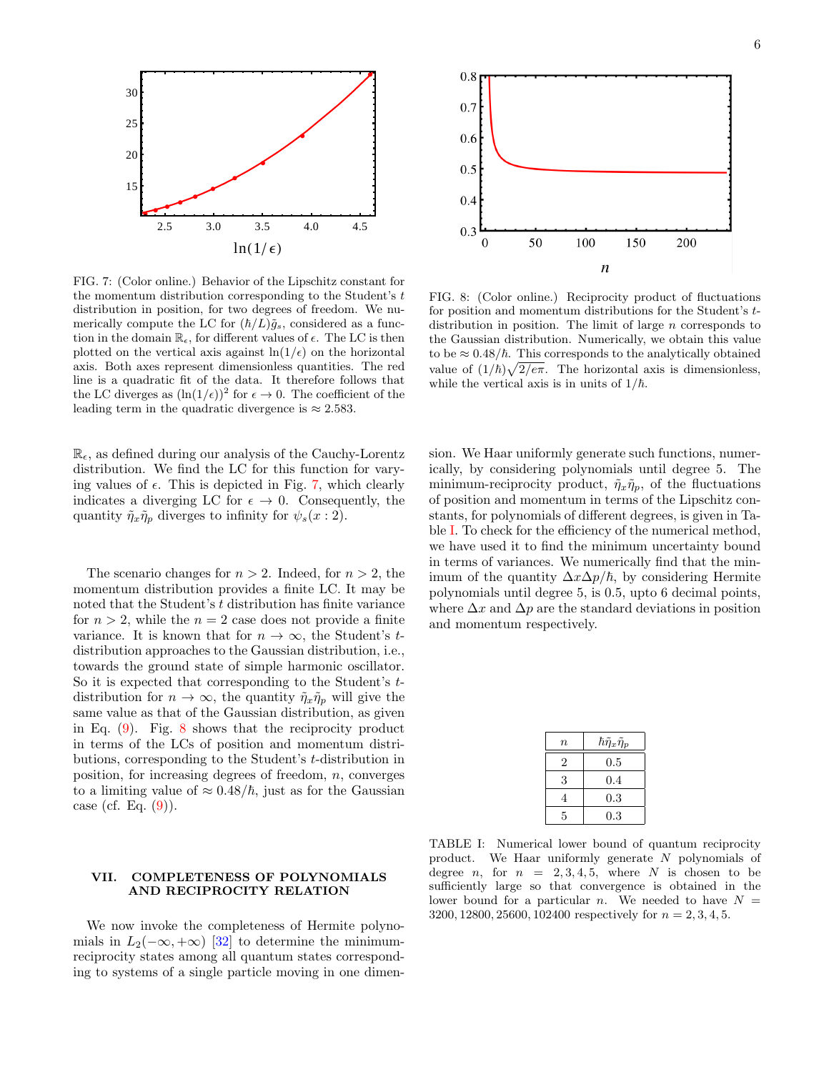

<span id="page-5-1"></span>FIG. 7: (Color online.) Behavior of the Lipschitz constant for the momentum distribution corresponding to the Student's  $t$ distribution in position, for two degrees of freedom. We numerically compute the LC for  $(\hbar/L)\tilde{g}_s$ , considered as a function in the domain  $\mathbb{R}_{\epsilon}$ , for different values of  $\epsilon$ . The LC is then plotted on the vertical axis against  $\ln(1/\epsilon)$  on the horizontal axis. Both axes represent dimensionless quantities. The red line is a quadratic fit of the data. It therefore follows that the LC diverges as  $(\ln(1/\epsilon))^2$  for  $\epsilon \to 0$ . The coefficient of the leading term in the quadratic divergence is  $\approx 2.583$ .

 $\mathbb{R}_{\epsilon}$ , as defined during our analysis of the Cauchy-Lorentz distribution. We find the LC for this function for varying values of  $\epsilon$ . This is depicted in Fig. [7,](#page-5-1) which clearly indicates a diverging LC for  $\epsilon \to 0$ . Consequently, the quantity  $\tilde{\eta}_x \tilde{\eta}_p$  diverges to infinity for  $\psi_s(x:2)$ .

The scenario changes for  $n > 2$ . Indeed, for  $n > 2$ , the momentum distribution provides a finite LC. It may be noted that the Student's t distribution has finite variance for  $n > 2$ , while the  $n = 2$  case does not provide a finite variance. It is known that for  $n \to \infty$ , the Student's tdistribution approaches to the Gaussian distribution, i.e., towards the ground state of simple harmonic oscillator. So it is expected that corresponding to the Student's tdistribution for  $n \to \infty$ , the quantity  $\tilde{\eta}_x \tilde{\eta}_p$  will give the same value as that of the Gaussian distribution, as given in Eq. [\(9\)](#page-2-2). Fig. [8](#page-5-2) shows that the reciprocity product in terms of the LCs of position and momentum distributions, corresponding to the Student's t-distribution in position, for increasing degrees of freedom,  $n$ , converges to a limiting value of  $\approx 0.48/\hbar$ , just as for the Gaussian case (cf. Eq.  $(9)$ ).

# <span id="page-5-0"></span>VII. COMPLETENESS OF POLYNOMIALS AND RECIPROCITY RELATION

We now invoke the completeness of Hermite polynomials in  $L_2(-\infty, +\infty)$  [\[32\]](#page-7-10) to determine the minimumreciprocity states among all quantum states corresponding to systems of a single particle moving in one dimen-



<span id="page-5-2"></span>FIG. 8: (Color online.) Reciprocity product of fluctuations for position and momentum distributions for the Student's tdistribution in position. The limit of large  $n$  corresponds to the Gaussian distribution. Numerically, we obtain this value to be  $\approx 0.48/\hbar$ . This corresponds to the analytically obtained value of  $(1/\hbar)\sqrt{2/e\pi}$ . The horizontal axis is dimensionless, while the vertical axis is in units of  $1/\hbar$ .

sion. We Haar uniformly generate such functions, numerically, by considering polynomials until degree 5. The minimum-reciprocity product,  $\tilde{\eta}_x \tilde{\eta}_p$ , of the fluctuations of position and momentum in terms of the Lipschitz constants, for polynomials of different degrees, is given in Table [I.](#page-5-3) To check for the efficiency of the numerical method, we have used it to find the minimum uncertainty bound in terms of variances. We numerically find that the minimum of the quantity  $\Delta x \Delta p / \hbar$ , by considering Hermite polynomials until degree 5, is 0.5, upto 6 decimal points, where  $\Delta x$  and  $\Delta p$  are the standard deviations in position and momentum respectively.

| $\, n$ | $\hbar \tilde{\eta}_x \tilde{\eta}_p$ |
|--------|---------------------------------------|
| 2      | 0.5                                   |
| 3      | 0.4                                   |
| 4      | 0.3                                   |
| 5      | 0.3                                   |

<span id="page-5-3"></span>TABLE I: Numerical lower bound of quantum reciprocity product. We Haar uniformly generate N polynomials of degree *n*, for  $n = 2, 3, 4, 5$ , where *N* is chosen to be sufficiently large so that convergence is obtained in the lower bound for a particular n. We needed to have  $N =$ 3200, 12800, 25600, 102400 respectively for  $n = 2, 3, 4, 5$ .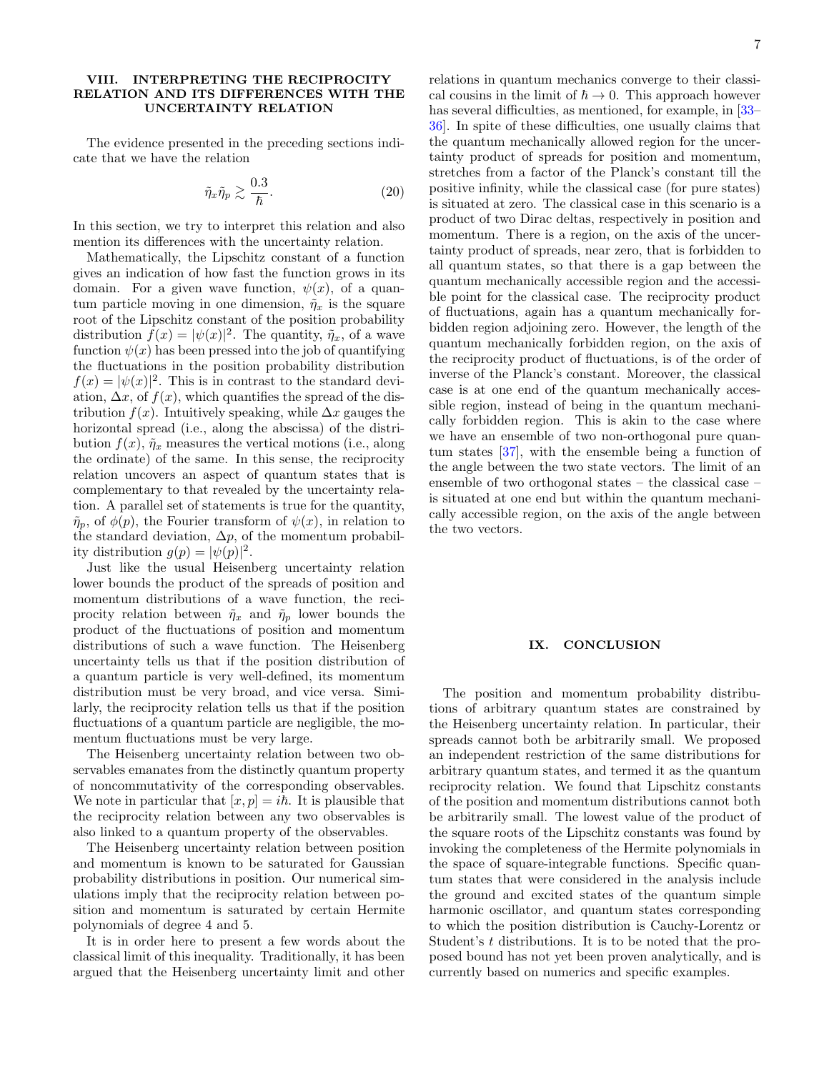### <span id="page-6-0"></span>VIII. INTERPRETING THE RECIPROCITY RELATION AND ITS DIFFERENCES WITH THE UNCERTAINTY RELATION

The evidence presented in the preceding sections indicate that we have the relation

$$
\tilde{\eta}_x \tilde{\eta}_p \gtrsim \frac{0.3}{\hbar}.\tag{20}
$$

In this section, we try to interpret this relation and also mention its differences with the uncertainty relation.

Mathematically, the Lipschitz constant of a function gives an indication of how fast the function grows in its domain. For a given wave function,  $\psi(x)$ , of a quantum particle moving in one dimension,  $\tilde{\eta}_x$  is the square root of the Lipschitz constant of the position probability distribution  $f(x) = |\psi(x)|^2$ . The quantity,  $\tilde{\eta}_x$ , of a wave function  $\psi(x)$  has been pressed into the job of quantifying the fluctuations in the position probability distribution  $f(x) = |\psi(x)|^2$ . This is in contrast to the standard deviation,  $\Delta x$ , of  $f(x)$ , which quantifies the spread of the distribution  $f(x)$ . Intuitively speaking, while  $\Delta x$  gauges the horizontal spread (i.e., along the abscissa) of the distribution  $f(x)$ ,  $\tilde{\eta}_x$  measures the vertical motions (i.e., along the ordinate) of the same. In this sense, the reciprocity relation uncovers an aspect of quantum states that is complementary to that revealed by the uncertainty relation. A parallel set of statements is true for the quantity,  $\tilde{\eta}_p$ , of  $\phi(p)$ , the Fourier transform of  $\psi(x)$ , in relation to the standard deviation,  $\Delta p$ , of the momentum probability distribution  $g(p) = |\psi(p)|^2$ .

Just like the usual Heisenberg uncertainty relation lower bounds the product of the spreads of position and momentum distributions of a wave function, the reciprocity relation between  $\tilde{\eta}_x$  and  $\tilde{\eta}_p$  lower bounds the product of the fluctuations of position and momentum distributions of such a wave function. The Heisenberg uncertainty tells us that if the position distribution of a quantum particle is very well-defined, its momentum distribution must be very broad, and vice versa. Similarly, the reciprocity relation tells us that if the position fluctuations of a quantum particle are negligible, the momentum fluctuations must be very large.

The Heisenberg uncertainty relation between two observables emanates from the distinctly quantum property of noncommutativity of the corresponding observables. We note in particular that  $[x, p] = i\hbar$ . It is plausible that the reciprocity relation between any two observables is also linked to a quantum property of the observables.

The Heisenberg uncertainty relation between position and momentum is known to be saturated for Gaussian probability distributions in position. Our numerical simulations imply that the reciprocity relation between position and momentum is saturated by certain Hermite polynomials of degree 4 and 5.

It is in order here to present a few words about the classical limit of this inequality. Traditionally, it has been argued that the Heisenberg uncertainty limit and other

relations in quantum mechanics converge to their classical cousins in the limit of  $\hbar \to 0$ . This approach however has several difficulties, as mentioned, for example, in  $[33-$ [36\]](#page-7-12). In spite of these difficulties, one usually claims that the quantum mechanically allowed region for the uncertainty product of spreads for position and momentum, stretches from a factor of the Planck's constant till the positive infinity, while the classical case (for pure states) is situated at zero. The classical case in this scenario is a product of two Dirac deltas, respectively in position and momentum. There is a region, on the axis of the uncertainty product of spreads, near zero, that is forbidden to all quantum states, so that there is a gap between the quantum mechanically accessible region and the accessible point for the classical case. The reciprocity product of fluctuations, again has a quantum mechanically forbidden region adjoining zero. However, the length of the quantum mechanically forbidden region, on the axis of the reciprocity product of fluctuations, is of the order of inverse of the Planck's constant. Moreover, the classical case is at one end of the quantum mechanically accessible region, instead of being in the quantum mechanically forbidden region. This is akin to the case where we have an ensemble of two non-orthogonal pure quantum states [\[37\]](#page-7-13), with the ensemble being a function of the angle between the two state vectors. The limit of an ensemble of two orthogonal states – the classical case – is situated at one end but within the quantum mechanically accessible region, on the axis of the angle between the two vectors.

## <span id="page-6-1"></span>IX. CONCLUSION

The position and momentum probability distributions of arbitrary quantum states are constrained by the Heisenberg uncertainty relation. In particular, their spreads cannot both be arbitrarily small. We proposed an independent restriction of the same distributions for arbitrary quantum states, and termed it as the quantum reciprocity relation. We found that Lipschitz constants of the position and momentum distributions cannot both be arbitrarily small. The lowest value of the product of the square roots of the Lipschitz constants was found by invoking the completeness of the Hermite polynomials in the space of square-integrable functions. Specific quantum states that were considered in the analysis include the ground and excited states of the quantum simple harmonic oscillator, and quantum states corresponding to which the position distribution is Cauchy-Lorentz or Student's t distributions. It is to be noted that the proposed bound has not yet been proven analytically, and is currently based on numerics and specific examples.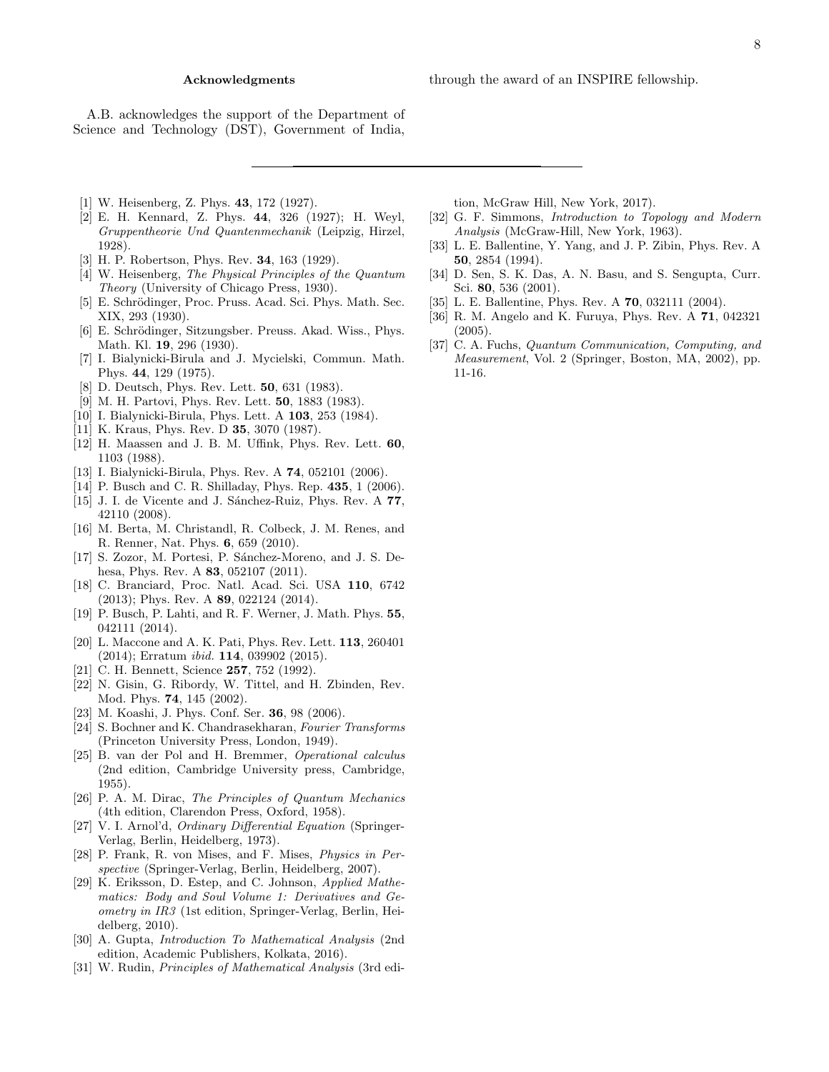A.B. acknowledges the support of the Department of Science and Technology (DST), Government of India,

- <span id="page-7-0"></span>[1] W. Heisenberg, Z. Phys. 43, 172 (1927).
- <span id="page-7-4"></span>[2] E. H. Kennard, Z. Phys. 44, 326 (1927); H. Weyl, Gruppentheorie Und Quantenmechanik (Leipzig, Hirzel, 1928).
- [3] H. P. Robertson, Phys. Rev. 34, 163 (1929).
- [4] W. Heisenberg, The Physical Principles of the Quantum Theory (University of Chicago Press, 1930).
- [5] E. Schrödinger, Proc. Pruss. Acad. Sci. Phys. Math. Sec. XIX, 293 (1930).
- [6] E. Schrödinger, Sitzungsber. Preuss. Akad. Wiss., Phys. Math. Kl. 19, 296 (1930).
- [7] I. Bialynicki-Birula and J. Mycielski, Commun. Math. Phys. 44, 129 (1975).
- [8] D. Deutsch, Phys. Rev. Lett. 50, 631 (1983).
- [9] M. H. Partovi, Phys. Rev. Lett. 50, 1883 (1983).
- [10] I. Bialynicki-Birula, Phys. Lett. A 103, 253 (1984).
- [11] K. Kraus, Phys. Rev. D **35**, 3070 (1987).
- [12] H. Maassen and J. B. M. Uffink, Phys. Rev. Lett. 60, 1103 (1988).
- [13] I. Bialynicki-Birula, Phys. Rev. A 74, 052101 (2006).
- [14] P. Busch and C. R. Shilladay, Phys. Rep. 435, 1 (2006).
- [15] J. I. de Vicente and J. Sánchez-Ruiz, Phys. Rev. A 77, 42110 (2008).
- [16] M. Berta, M. Christandl, R. Colbeck, J. M. Renes, and R. Renner, Nat. Phys. 6, 659 (2010).
- [17] S. Zozor, M. Portesi, P. Sánchez-Moreno, and J. S. Dehesa, Phys. Rev. A **83**, 052107 (2011).
- [18] C. Branciard, Proc. Natl. Acad. Sci. USA 110, 6742 (2013); Phys. Rev. A 89, 022124 (2014).
- [19] P. Busch, P. Lahti, and R. F. Werner, J. Math. Phys. 55, 042111 (2014).
- <span id="page-7-1"></span>[20] L. Maccone and A. K. Pati, Phys. Rev. Lett. 113, 260401 (2014); Erratum ibid. 114, 039902 (2015).
- <span id="page-7-2"></span>[21] C. H. Bennett, Science **257**, 752 (1992).
- [22] N. Gisin, G. Ribordy, W. Tittel, and H. Zbinden, Rev. Mod. Phys. 74, 145 (2002).
- <span id="page-7-3"></span>[23] M. Koashi, J. Phys. Conf. Ser. 36, 98 (2006).
- <span id="page-7-5"></span>[24] S. Bochner and K. Chandrasekharan, Fourier Transforms (Princeton University Press, London, 1949).
- <span id="page-7-6"></span>[25] B. van der Pol and H. Bremmer, Operational calculus (2nd edition, Cambridge University press, Cambridge, 1955).
- <span id="page-7-7"></span>[26] P. A. M. Dirac, The Principles of Quantum Mechanics (4th edition, Clarendon Press, Oxford, 1958).
- <span id="page-7-8"></span>[27] V. I. Arnol'd, Ordinary Differential Equation (Springer-Verlag, Berlin, Heidelberg, 1973).
- [28] P. Frank, R. von Mises, and F. Mises, Physics in Perspective (Springer-Verlag, Berlin, Heidelberg, 2007).
- [29] K. Eriksson, D. Estep, and C. Johnson, Applied Mathematics: Body and Soul Volume 1: Derivatives and Geometry in IR3 (1st edition, Springer-Verlag, Berlin, Heidelberg, 2010).
- [30] A. Gupta, Introduction To Mathematical Analysis (2nd edition, Academic Publishers, Kolkata, 2016).
- <span id="page-7-9"></span>[31] W. Rudin, Principles of Mathematical Analysis (3rd edi-

tion, McGraw Hill, New York, 2017).

- <span id="page-7-10"></span>[32] G. F. Simmons, Introduction to Topology and Modern Analysis (McGraw-Hill, New York, 1963).
- <span id="page-7-11"></span>[33] L. E. Ballentine, Y. Yang, and J. P. Zibin, Phys. Rev. A 50, 2854 (1994).
- [34] D. Sen, S. K. Das, A. N. Basu, and S. Sengupta, Curr. Sci. 80, 536 (2001).
- [35] L. E. Ballentine, Phys. Rev. A **70**, 032111 (2004).
- <span id="page-7-12"></span>[36] R. M. Angelo and K. Furuya, Phys. Rev. A 71, 042321 (2005).
- <span id="page-7-13"></span>[37] C. A. Fuchs, Quantum Communication, Computing, and Measurement, Vol. 2 (Springer, Boston, MA, 2002), pp. 11-16.